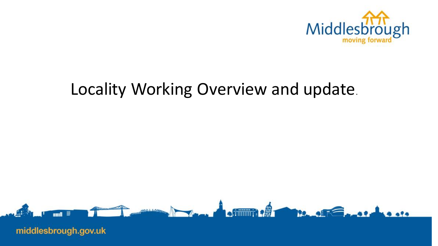

# Locality Working Overview and update.

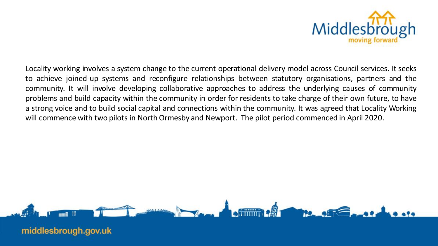

Locality working involves a system change to the current operational delivery model across Council services. It seeks to achieve joined-up systems and reconfigure relationships between statutory organisations, partners and the community. It will involve developing collaborative approaches to address the underlying causes of community problems and build capacity within the community in order for residents to take charge of their own future, to have a strong voice and to build social capital and connections within the community. It was agreed that Locality Working will commence with two pilots in North Ormesby and Newport. The pilot period commenced in April 2020.

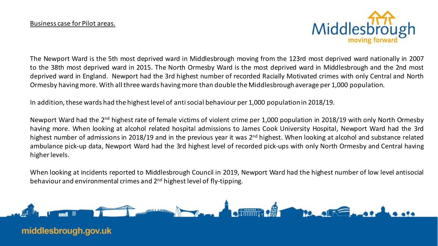

The Newport Ward is the 5th most deprived ward in Middlesbrough moving from the 123rd most deprived ward nationally in 2007 to the 38th most deprived ward in 2015. The North Ormesby Ward is the most deprived ward in Middlesbrough and the 2nd most deprived ward in England. Newport had the 3rd highest number of recorded Racially Motivated crimes with only Central and North Ormesby havingmore. With all three wards havingmore than double the Middlesbrough average per 1,000 population.

In addition, these wards had the highest level of anti social behaviour per 1,000 population in 2018/19.

Newport Ward had the 2<sup>nd</sup> highest rate of female victims of violent crime per 1,000 population in 2018/19 with only North Ormesby having more. When looking at alcohol related hospital admissions to James Cook University Hospital, Newport Ward had the 3rd highest number of admissions in 2018/19 and in the previous year it was 2<sup>nd</sup> highest. When looking at alcohol and substance related ambulance pick-up data, Newport Ward had the 3rd highest level of recorded pick-ups with only North Ormesby and Central having higherlevels.

When looking at incidents reported to Middlesbrough Council in 2019, Newport Ward had the highest number of low level antisocial behaviour and environmental crimes and 2<sup>nd</sup> highest level of fly-tipping.

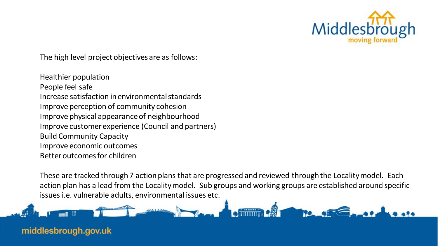

The high level project objectives are as follows:

Healthier population People feel safe Increase satisfaction in environmental standards Improve perception of community cohesion Improve physical appearance of neighbourhood Improve customer experience (Council and partners) Build Community Capacity Improve economic outcomes Better outcomes for children

These are tracked through 7 action plans that are progressed and reviewed through the Locality model. Each action plan has a lead from the Locality model. Sub groups and working groups are established around specific issues i.e. vulnerable adults, environmental issues etc.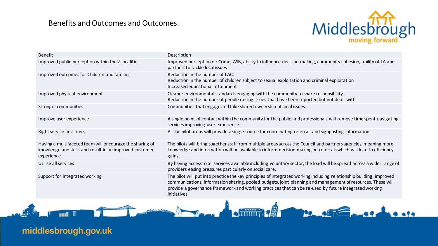#### Benefits and Outcomes and Outcomes.



provide a governance framework and working practices that can be re-used by future integrated working practice

| <b>Benefit</b>                                                                                                                    | Description                                                                                                                                                                                                                                                                                                                                                |
|-----------------------------------------------------------------------------------------------------------------------------------|------------------------------------------------------------------------------------------------------------------------------------------------------------------------------------------------------------------------------------------------------------------------------------------------------------------------------------------------------------|
| Improved public perception within the 2 localities                                                                                | Improved perception of: Crime, ASB, ability to influence decision making, community cohesion, ability of LA and<br>partners to tackle local issues                                                                                                                                                                                                         |
| Improved outcomes for Children and families                                                                                       | Reduction in the number of LAC.<br>Reduction in the number of children subject to sexual exploitation and criminal exploitation<br>Increased educational attainment                                                                                                                                                                                        |
| Improved physical environment                                                                                                     | Cleaner environmental standards engaging with the community to share responsibility.<br>Reduction in the number of people raising issues that have been reported but not dealt with                                                                                                                                                                        |
| Stronger communities                                                                                                              | Communities that engage and take shared ownership of local issues.                                                                                                                                                                                                                                                                                         |
| Improve user experience                                                                                                           | A single point of contact within the community for the public and professionals will remove time spent navigating<br>services improving user experience.                                                                                                                                                                                                   |
| Right service first time.                                                                                                         | As the pilot areas will provide a single source for coordinating referrals and signposting information.                                                                                                                                                                                                                                                    |
| Having a multifaceted team will encourage the sharing of<br>knowledge and skills and result in an improved customer<br>experience | The pilots will bring together staff from multiple areas across the Council and partners agencies, meaning more<br>knowledge and information will be available to inform decision making on referrals which will lead to efficiency<br>gains.                                                                                                              |
| Utilise all services                                                                                                              | By having access to all services available including voluntary sector, the load will be spread across a wider range of<br>providers easing pressures particularly on social care.                                                                                                                                                                          |
| Support for integrated working                                                                                                    | The pilot will put into practice the key principles of integrated working including relationship building, improved<br>communications, information sharing, pooled budgets, joint planning and management of resources. These will<br>provide a governance framework and working practices that can be re-used by future integrated working<br>initiatives |

in the second stress

middlesbrough.gov.uk

**Sund** 

÷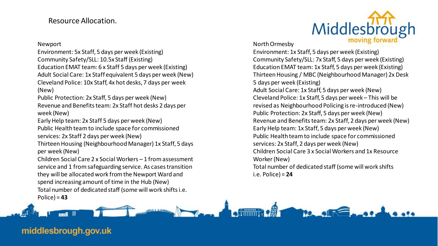### Resource Allocation.

Newport

Environment: 5x Staff, 5 days per week (Existing) Community Safety/SLL: 10.5x Staff (Existing) Education EMAT team: 6 x Staff 5 days per week (Existing) Adult Social Care: 1x Staff equivalent 5 days per week (New) Cleveland Police: 10x Staff, 4x hot desks, 7 days per week (New)

Public Protection: 2x Staff, 5 days per week (New) Revenue and Benefits team: 2x Staff hot desks 2 days per week (New)

Early Help team: 2x Staff 5 days per week (New) Public Health team to include space for commissioned services: 2x Staff 2 days per week (New)

Thirteen Housing (Neighbourhood Manager) 1x Staff, 5 days per week (New)

Children Social Care 2 x Social Workers – 1 from assessment service and 1 from safeguarding service. As cases transition they will be allocated work from the Newport Ward and spend increasing amount of time in the Hub (New) Total number of dedicated staff (some will work shifts i.e.

Police) = **43**



**Filling a + 22** 

Environment: 1x Staff, 5 days per week (Existing) Community Safety/SLL: 7x Staff, 5 days per week (Existing) Education EMAT team: 1x Staff, 5 days per week (Existing) Thirteen Housing / MBC (Neighbourhood Manager) 2x Desk 5 days per week (Existing) Adult Social Care: 1x Staff, 5 days per week (New) Cleveland Police: 1x Staff, 5 days per week – This will be revised as Neighbourhood Policing is re-introduced (New) Public Protection: 2x Staff, 5 days per week (New) Revenue and Benefits team: 2x Staff, 2 days per week (New) Early Help team: 1x Staff, 5 days per week (New) Public Health team to include space for commissioned services: 2x Staff, 2 days per week (New) Children Social Care 3 x Social Workers and 1x Resource Worker(New) Total number of dedicated staff (some will work shifts i.e. Police) = **24**

Middlesbrough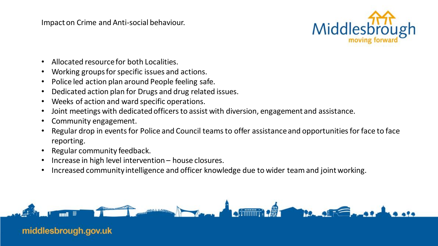Impact on Crime and Anti-social behaviour.



- Allocated resource for both Localities.
- Working groups for specific issues and actions.
- Police led action plan around People feeling safe.
- Dedicated action plan for Drugs and drug related issues.
- Weeks of action and ward specific operations.
- Joint meetings with dedicated officers to assist with diversion, engagement and assistance.
- Community engagement.
- Regular drop in events for Police and Council teams to offer assistance and opportunities for face to face reporting.
- Regular community feedback.
- Increase in high level intervention house closures.
- Increased community intelligence and officer knowledge due to wider team and joint working.

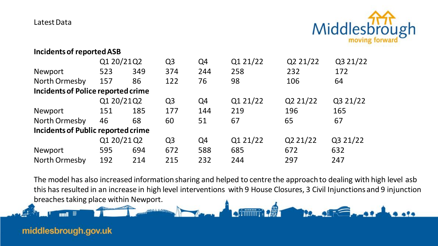Latest Data



#### **Incidents of reported ASB**

|                                           | Q1 20/21Q2  |     | Q <sub>3</sub> | Q4  | Q1 21/22 | Q2 21/22 | Q3 21/22 |
|-------------------------------------------|-------------|-----|----------------|-----|----------|----------|----------|
| <b>Newport</b>                            | 523         | 349 | 374            | 244 | 258      | 232      | 172      |
| North Ormesby                             | 157         | 86  | 122            | 76  | 98       | 106      | 64       |
| <b>Incidents of Police reported crime</b> |             |     |                |     |          |          |          |
|                                           | Q1 20/21Q2  |     | Q <sub>3</sub> | Q4  | Q1 21/22 | Q2 21/22 | Q3 21/22 |
| Newport                                   | 151         | 185 | 177            | 144 | 219      | 196      | 165      |
| North Ormesby                             | 46          | 68  | 60             | 51  | 67       | 65       | 67       |
| <b>Incidents of Public reported crime</b> |             |     |                |     |          |          |          |
|                                           | Q1 20/21 Q2 |     | Q <sub>3</sub> | Q4  | Q1 21/22 | Q2 21/22 | Q3 21/22 |
| Newport                                   | 595         | 694 | 672            | 588 | 685      | 672      | 632      |
| North Ormesby                             | 192         | 214 | 215            | 232 | 244      | 297      | 247      |

The model has also increased information sharing and helped to centre the approach to dealing with high level asb this has resulted in an increase in high level interventions with 9 House Closures, 3 Civil Injunctions and 9 injunction breaches taking place within Newport.**12. 45 Game 11 +FILLER +8**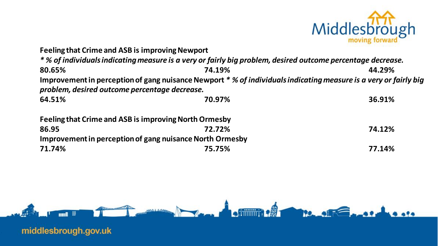

| <b>Feeling that Crime and ASB is improving Newport</b>   |                                                                                                                  |        |  |  |  |  |  |
|----------------------------------------------------------|------------------------------------------------------------------------------------------------------------------|--------|--|--|--|--|--|
|                                                          | * % of individuals indicating measure is a very or fairly big problem, desired outcome percentage decrease.      |        |  |  |  |  |  |
| 80.65%                                                   | 74.19%                                                                                                           | 44.29% |  |  |  |  |  |
|                                                          | Improvement in perception of gang nuisance Newport * % of individuals indicating measure is a very or fairly big |        |  |  |  |  |  |
| problem, desired outcome percentage decrease.            |                                                                                                                  |        |  |  |  |  |  |
| 64.51%                                                   | 70.97%                                                                                                           | 36.91% |  |  |  |  |  |
| Feeling that Crime and ASB is improving North Ormesby    |                                                                                                                  |        |  |  |  |  |  |
| 86.95                                                    | 72.72%                                                                                                           | 74.12% |  |  |  |  |  |
| Improvement in perception of gang nuisance North Ormesby |                                                                                                                  |        |  |  |  |  |  |
| 71.74%                                                   | 75.75%                                                                                                           | 77.14% |  |  |  |  |  |